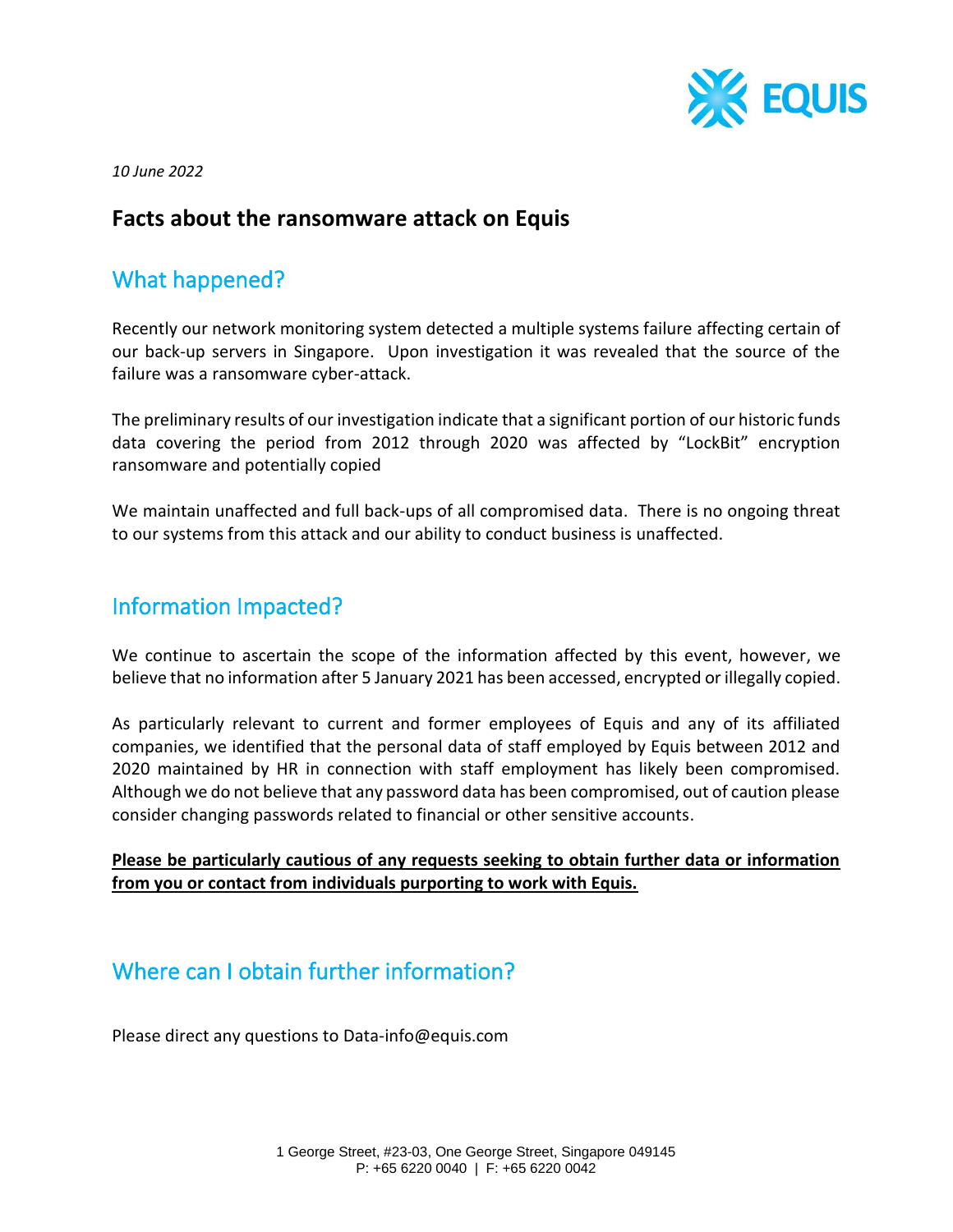

*10 June 2022*

#### **Facts about the ransomware attack on Equis**

### What happened?

Recently our network monitoring system detected a multiple systems failure affecting certain of our back-up servers in Singapore. Upon investigation it was revealed that the source of the failure was a ransomware cyber-attack.

The preliminary results of our investigation indicate that a significant portion of our historic funds data covering the period from 2012 through 2020 was affected by "LockBit" encryption ransomware and potentially copied

We maintain unaffected and full back-ups of all compromised data. There is no ongoing threat to our systems from this attack and our ability to conduct business is unaffected.

### Information Impacted?

We continue to ascertain the scope of the information affected by this event, however, we believe that no information after 5 January 2021 has been accessed, encrypted or illegally copied.

As particularly relevant to current and former employees of Equis and any of its affiliated companies, we identified that the personal data of staff employed by Equis between 2012 and 2020 maintained by HR in connection with staff employment has likely been compromised. Although we do not believe that any password data has been compromised, out of caution please consider changing passwords related to financial or other sensitive accounts.

#### **Please be particularly cautious of any requests seeking to obtain further data or information from you or contact from individuals purporting to work with Equis.**

### Where can I obtain further information?

Please direct any questions to Data-info@equis.com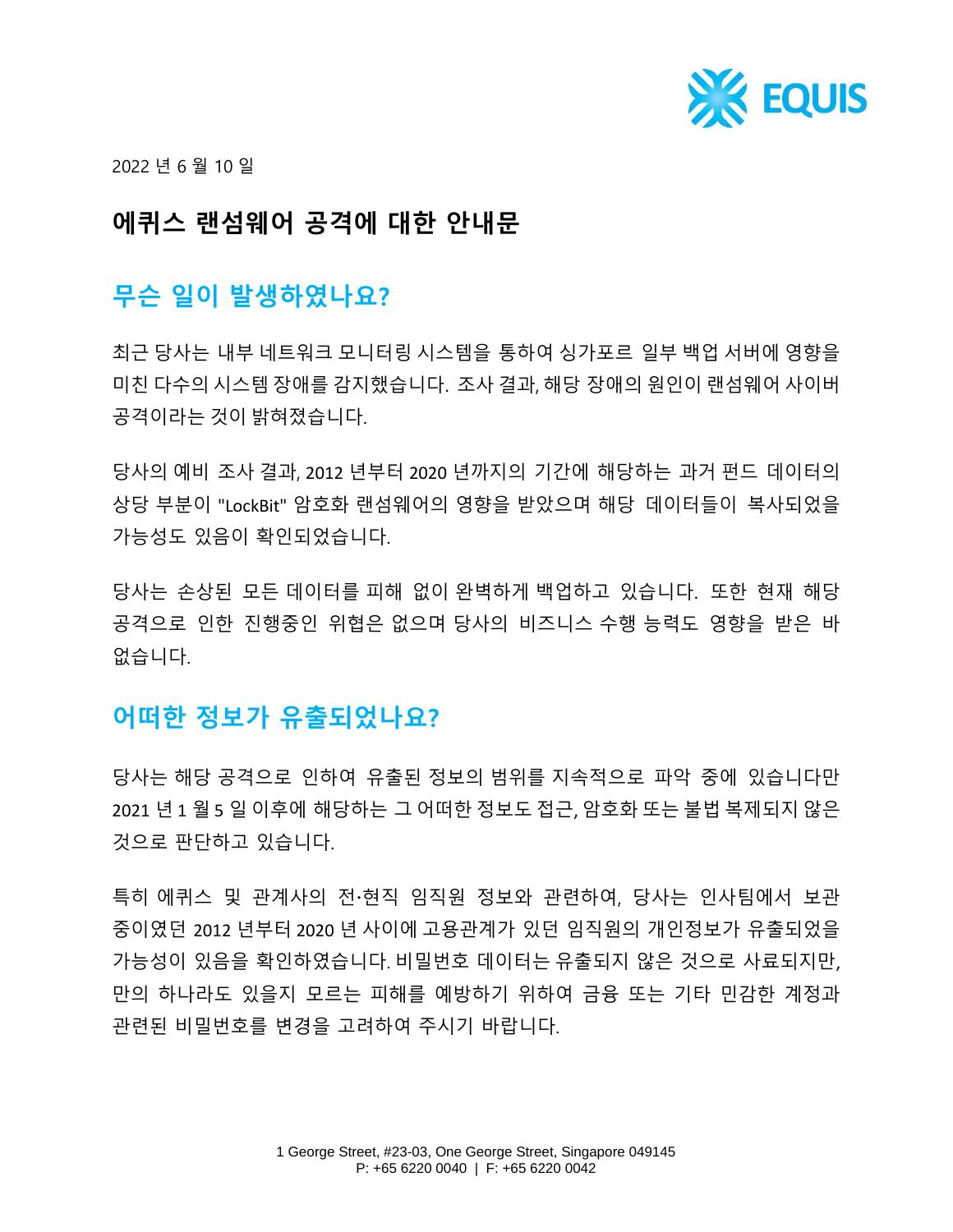

2022 년 6 월 10 일

# **에퀴스 랜섬웨어 공격에 대한 안내문**

# **무슨 일이 발생하였나요?**

최근 당사는 내부 네트워크 모니터링 시스템을 통하여 싱가포르 일부 백업 서버에 영향을 미친 다수의 시스템 장애를 감지했습니다. 조사 결과, 해당 장애의 원인이 랜섬웨어 사이버 공격이라는 것이 밝혀졌습니다.

당사의 예비 조사 결과, 2012 년부터 2020 년까지의 기간에 해당하는 과거 펀드 데이터의 상당 부분이 "LockBit" 암호화 랜섬웨어의 영향을 받았으며 해당 데이터들이 복사되었을 가능성도 있음이 확인되었습니다.

당사는 손상된 모든 데이터를 피해 없이 완벽하게 백업하고 있습니다. 또한 현재 해당 공격으로 인한 진행중인 위협은 없으며 당사의 비즈니스 수행 능력도 영향을 받은 바 없습니다.

### **어떠한 정보가 유출되었나요?**

당사는 해당 공격으로 인하여 유출된 정보의 범위를 지속적으로 파악 중에 있습니다만 2021 년 1 월 5 일 이후에 해당하는 그 어떠한 정보도 접근, 암호화 또는 불법 복제되지 않은 것으로 판단하고 있습니다.

특히 에퀴스 및 관계사의 전현직 임직원 정보와 관련하여, 당사는 인사팀에서 보관 중이였던 2012 년부터 2020 년 사이에 고용관계가 있던 임직원의 개인정보가 유출되었을 가능성이 있음을 확인하였습니다. 비밀번호 데이터는 유출되지 않은 것으로 사료되지만, 만의 하나라도 있을지 모르는 피해를 예방하기 위하여 금융 또는 기타 민감한 계정과 관련된 비밀번호를 변경을 고려하여 주시기 바랍니다.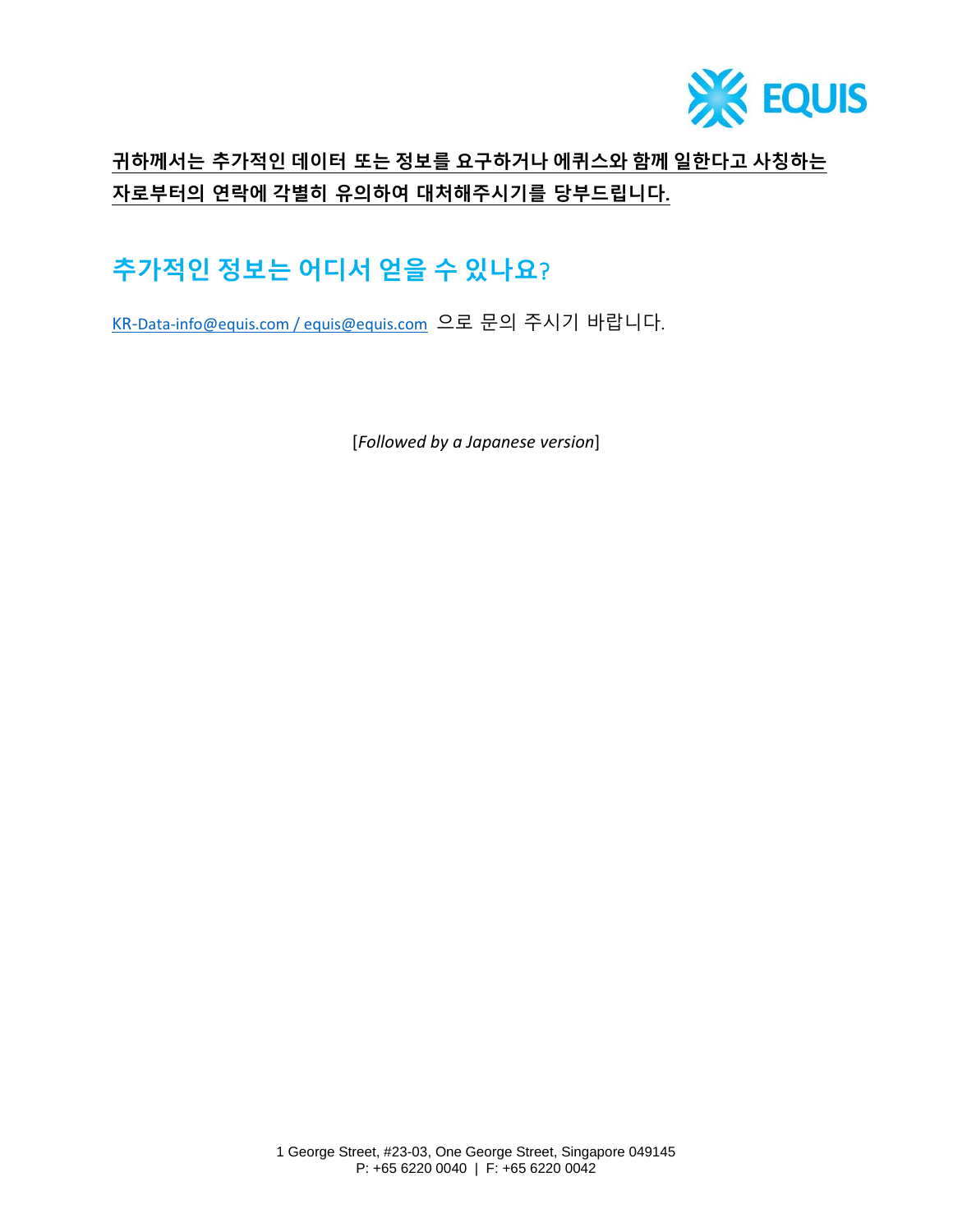

## **귀하께서는 추가적인 데이터 또는 정보를 요구하거나 에퀴스와 함께 일한다고 사칭하는 자로부터의 연락에 각별히 유의하여 대처해주시기를 당부드립니다.**

# **추가적인 정보는 어디서 얻을 수 있나요**?

KR-[Data-info@equis.com](mailto:Data-info@equis.com) / [equis@equis.com](mailto:equis@equis.com) 으로 문의 주시기 바랍니다.

[*Followed by a Japanese version*]